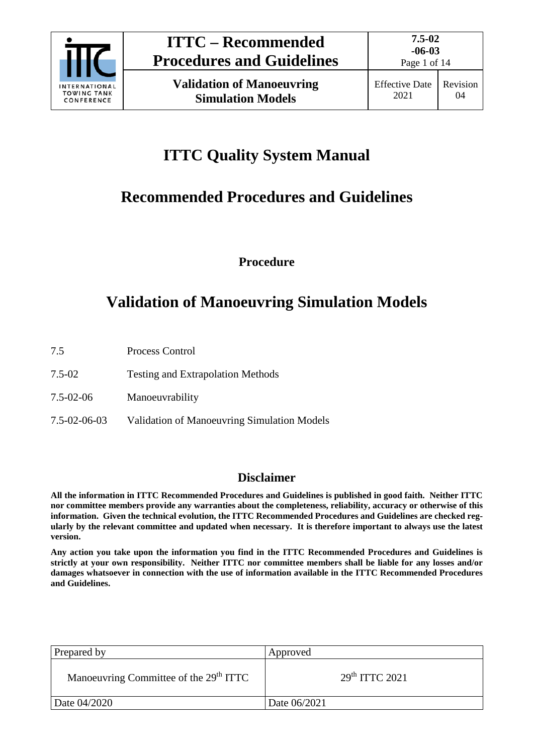

Page 1 of 14

# **ITTC Quality System Manual**

# **Recommended Procedures and Guidelines**

**Procedure**

# **Validation of Manoeuvring Simulation Models**

- 7.5 Process Control
- 7.5-02 Testing and Extrapolation Methods
- 7.5-02-06 Manoeuvrability
- 7.5-02-06-03 Validation of Manoeuvring Simulation Models

### **Disclaimer**

**All the information in ITTC Recommended Procedures and Guidelines is published in good faith. Neither ITTC nor committee members provide any warranties about the completeness, reliability, accuracy or otherwise of this information. Given the technical evolution, the ITTC Recommended Procedures and Guidelines are checked regularly by the relevant committee and updated when necessary. It is therefore important to always use the latest version.**

**Any action you take upon the information you find in the ITTC Recommended Procedures and Guidelines is strictly at your own responsibility. Neither ITTC nor committee members shall be liable for any losses and/or damages whatsoever in connection with the use of information available in the ITTC Recommended Procedures and Guidelines.**

| Prepared by                                        | Approved         |
|----------------------------------------------------|------------------|
| Manoeuvring Committee of the 29 <sup>th</sup> ITTC | $29th$ ITTC 2021 |
| Date 04/2020                                       | Date 06/2021     |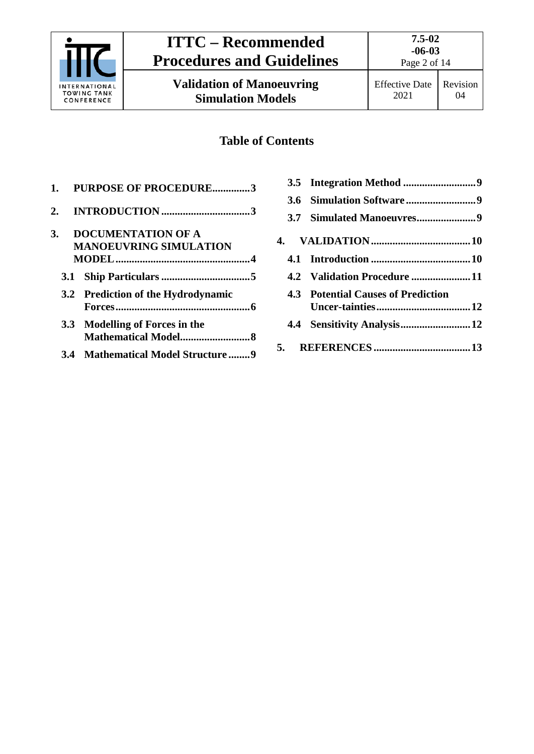

**Validation of Manoeuvring Simulation Models**

**7.5-02 -06-03**

## **Table of Contents**

| 1. | <b>PURPOSE OF PROCEDURE3</b>       |
|----|------------------------------------|
| 2. |                                    |
| 3. | <b>DOCUMENTATION OF A</b>          |
|    | <b>MANOEUVRING SIMULATION</b>      |
|    |                                    |
|    |                                    |
|    | 3.2 Prediction of the Hydrodynamic |
|    | 3.3 Modelling of Forces in the     |
|    | 3.4 Mathematical Model Structure 9 |

| 4.2 Validation Procedure  11       |
|------------------------------------|
| 4.3 Potential Causes of Prediction |
|                                    |
|                                    |
|                                    |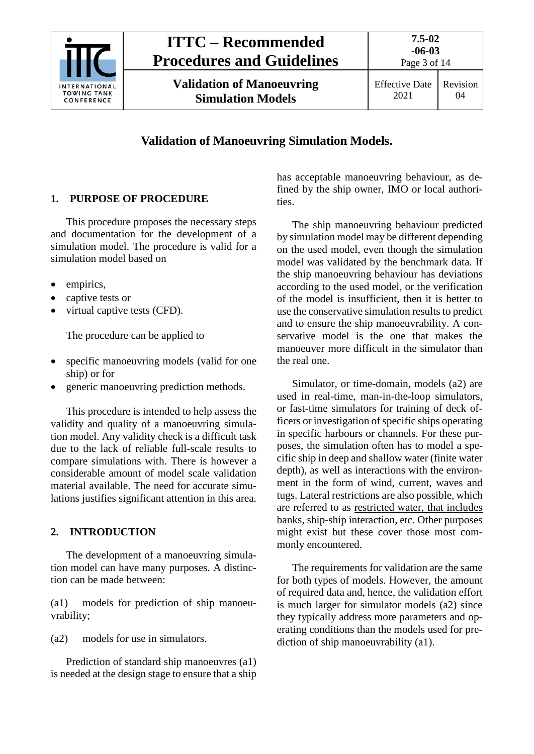

Effective Date 2021 Revision 04

## **Validation of Manoeuvring Simulation Models.**

## <span id="page-2-0"></span>**1. PURPOSE OF PROCEDURE**

This procedure proposes the necessary steps and documentation for the development of a simulation model. The procedure is valid for a simulation model based on

- empirics,
- captive tests or
- virtual captive tests (CFD).

The procedure can be applied to

- specific manoeuvring models (valid for one ship) or for
- generic manoeuvring prediction methods.

This procedure is intended to help assess the validity and quality of a manoeuvring simulation model. Any validity check is a difficult task due to the lack of reliable full-scale results to compare simulations with. There is however a considerable amount of model scale validation material available. The need for accurate simulations justifies significant attention in this area.

#### <span id="page-2-1"></span>**2. INTRODUCTION**

The development of a manoeuvring simulation model can have many purposes. A distinction can be made between:

(a1) models for prediction of ship manoeuvrability;

(a2) models for use in simulators.

Prediction of standard ship manoeuvres (a1) is needed at the design stage to ensure that a ship has acceptable manoeuvring behaviour, as defined by the ship owner, IMO or local authorities.

The ship manoeuvring behaviour predicted by simulation model may be different depending on the used model, even though the simulation model was validated by the benchmark data. If the ship manoeuvring behaviour has deviations according to the used model, or the verification of the model is insufficient, then it is better to use the conservative simulation results to predict and to ensure the ship manoeuvrability. A conservative model is the one that makes the manoeuver more difficult in the simulator than the real one.

Simulator, or time-domain, models (a2) are used in real-time, man-in-the-loop simulators, or fast-time simulators for training of deck officers or investigation of specific ships operating in specific harbours or channels. For these purposes, the simulation often has to model a specific ship in deep and shallow water (finite water depth), as well as interactions with the environment in the form of wind, current, waves and tugs. Lateral restrictions are also possible, which are referred to as restricted water, that includes banks, ship-ship interaction, etc. Other purposes might exist but these cover those most commonly encountered.

The requirements for validation are the same for both types of models. However, the amount of required data and, hence, the validation effort is much larger for simulator models (a2) since they typically address more parameters and operating conditions than the models used for prediction of ship manoeuvrability (a1).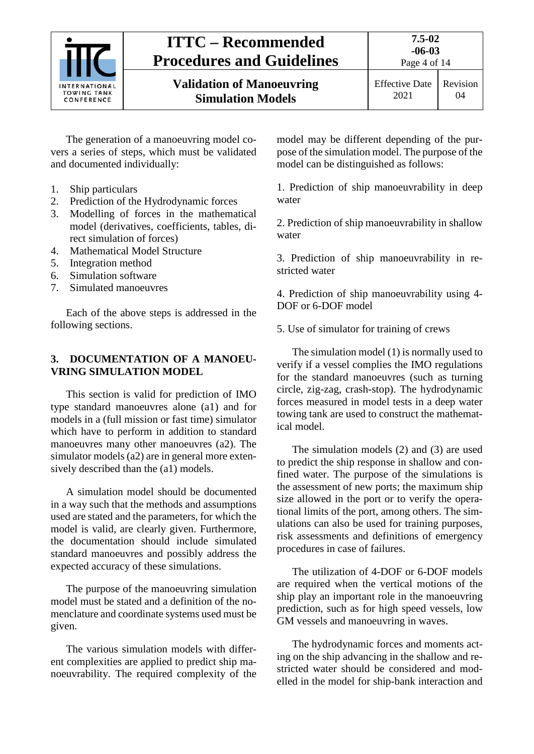

Effective Date 2021 Revision 04

The generation of a manoeuvring model covers a series of steps, which must be validated and documented individually:

- 1. Ship particulars
- 2. Prediction of the Hydrodynamic forces
- 3. Modelling of forces in the mathematical model (derivatives, coefficients, tables, direct simulation of forces)
- 4. Mathematical Model Structure
- 5. Integration method
- 6. Simulation software
- 7. Simulated manoeuvres

Each of the above steps is addressed in the following sections.

#### <span id="page-3-0"></span>**3. DOCUMENTATION OF A MANOEU-VRING SIMULATION MODEL**

This section is valid for prediction of IMO type standard manoeuvres alone (a1) and for models in a (full mission or fast time) simulator which have to perform in addition to standard manoeuvres many other manoeuvres (a2). The simulator models (a2) are in general more extensively described than the (a1) models.

A simulation model should be documented in a way such that the methods and assumptions used are stated and the parameters, for which the model is valid, are clearly given. Furthermore, the documentation should include simulated standard manoeuvres and possibly address the expected accuracy of these simulations.

The purpose of the manoeuvring simulation model must be stated and a definition of the nomenclature and coordinate systems used must be given.

The various simulation models with different complexities are applied to predict ship manoeuvrability. The required complexity of the model may be different depending of the purpose of the simulation model. The purpose of the model can be distinguished as follows:

1. Prediction of ship manoeuvrability in deep water

2. Prediction of ship manoeuvrability in shallow water

3. Prediction of ship manoeuvrability in restricted water

4. Prediction of ship manoeuvrability using 4- DOF or 6-DOF model

5. Use of simulator for training of crews

The simulation model (1) is normally used to verify if a vessel complies the IMO regulations for the standard manoeuvres (such as turning circle, zig-zag, crash-stop). The hydrodynamic forces measured in model tests in a deep water towing tank are used to construct the mathematical model.

The simulation models (2) and (3) are used to predict the ship response in shallow and confined water. The purpose of the simulations is the assessment of new ports; the maximum ship size allowed in the port or to verify the operational limits of the port, among others. The simulations can also be used for training purposes, risk assessments and definitions of emergency procedures in case of failures.

The utilization of 4-DOF or 6-DOF models are required when the vertical motions of the ship play an important role in the manoeuvring prediction, such as for high speed vessels, low GM vessels and manoeuvring in waves.

The hydrodynamic forces and moments acting on the ship advancing in the shallow and restricted water should be considered and modelled in the model for ship-bank interaction and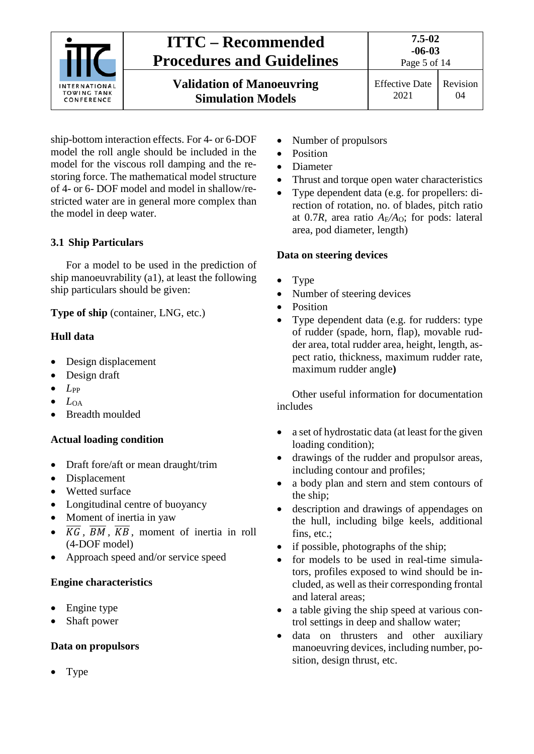

ship-bottom interaction effects. For 4- or 6-DOF model the roll angle should be included in the model for the viscous roll damping and the restoring force. The mathematical model structure of 4- or 6- DOF model and model in shallow/restricted water are in general more complex than the model in deep water.

#### <span id="page-4-0"></span>**3.1 Ship Particulars**

For a model to be used in the prediction of ship manoeuvrability (a1), at least the following ship particulars should be given:

**Type of ship** (container, LNG, etc.)

#### **Hull data**

- Design displacement
- Design draft
- $\bullet$  *L*<sub>PP</sub>
- $L_{OA}$
- Breadth moulded

#### **Actual loading condition**

- Draft fore/aft or mean draught/trim
- Displacement
- Wetted surface
- Longitudinal centre of buoyancy
- Moment of inertia in yaw
- $\overline{KG}$ ,  $\overline{BM}$ ,  $\overline{KB}$ , moment of inertia in roll (4-DOF model)
- Approach speed and/or service speed

#### **Engine characteristics**

- Engine type
- Shaft power

#### **Data on propulsors**

• Type

- Number of propulsors
- Position
- Diameter
- Thrust and torque open water characteristics
- Type dependent data (e.g. for propellers: direction of rotation, no. of blades, pitch ratio at 0.7*R*, area ratio *A*E*/A*O; for pods: lateral area, pod diameter, length)

#### **Data on steering devices**

- Type
- Number of steering devices
- Position
- Type dependent data (e.g. for rudders: type of rudder (spade, horn, flap), movable rudder area, total rudder area, height, length, aspect ratio, thickness, maximum rudder rate, maximum rudder angle**)**

Other useful information for documentation includes

- a set of hydrostatic data (at least for the given loading condition);
- drawings of the rudder and propulsor areas, including contour and profiles;
- a body plan and stern and stem contours of the ship;
- description and drawings of appendages on the hull, including bilge keels, additional fins, etc.;
- if possible, photographs of the ship;
- for models to be used in real-time simulators, profiles exposed to wind should be included, as well as their corresponding frontal and lateral areas;
- a table giving the ship speed at various control settings in deep and shallow water;
- data on thrusters and other auxiliary manoeuvring devices, including number, position, design thrust, etc.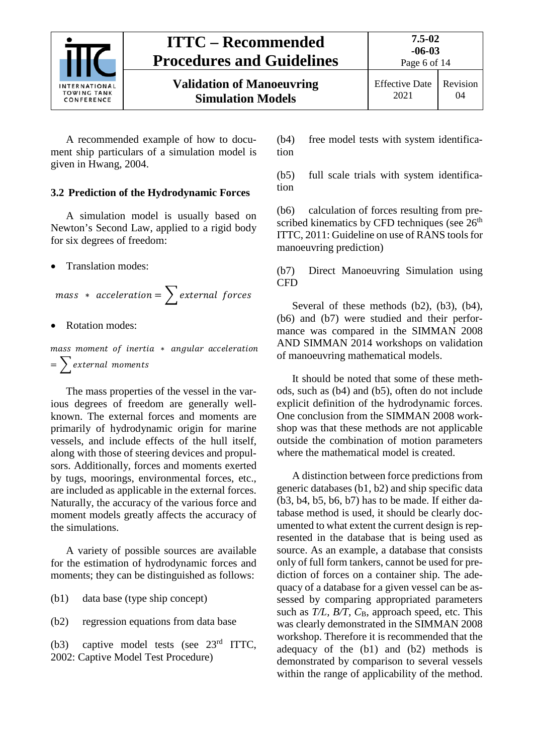

Page 6 of 14

**Validation of Manoeuvring Simulation Models**

A recommended example of how to document ship particulars of a simulation model is given in Hwang, 2004.

#### <span id="page-5-0"></span>**3.2 Prediction of the Hydrodynamic Forces**

A simulation model is usually based on Newton's Second Law, applied to a rigid body for six degrees of freedom:

• Translation modes:

 $mass * acceleration = \sum_{\text{external forces}}$ 

**Rotation modes:** 

mass moment of inertia \* angular acceleration  $=$  > external moments

The mass properties of the vessel in the various degrees of freedom are generally wellknown. The external forces and moments are primarily of hydrodynamic origin for marine vessels, and include effects of the hull itself, along with those of steering devices and propulsors. Additionally, forces and moments exerted by tugs, moorings, environmental forces, etc., are included as applicable in the external forces. Naturally, the accuracy of the various force and moment models greatly affects the accuracy of the simulations.

A variety of possible sources are available for the estimation of hydrodynamic forces and moments; they can be distinguished as follows:

(b1) data base (type ship concept)

(b2) regression equations from data base

(b3) captive model tests (see 23rd ITTC, 2002: Captive Model Test Procedure)

(b4) free model tests with system identification

(b5) full scale trials with system identification

(b6) calculation of forces resulting from prescribed kinematics by CFD techniques (see  $26<sup>th</sup>$ ) ITTC, 2011: Guideline on use of RANS tools for manoeuvring prediction)

(b7) Direct Manoeuvring Simulation using CFD

Several of these methods  $(b2)$ ,  $(b3)$ ,  $(b4)$ , (b6) and (b7) were studied and their performance was compared in the SIMMAN 2008 AND SIMMAN 2014 workshops on validation of manoeuvring mathematical models.

It should be noted that some of these methods, such as (b4) and (b5), often do not include explicit definition of the hydrodynamic forces. One conclusion from the SIMMAN 2008 workshop was that these methods are not applicable outside the combination of motion parameters where the mathematical model is created.

A distinction between force predictions from generic databases (b1, b2) and ship specific data (b3, b4, b5, b6, b7) has to be made. If either database method is used, it should be clearly documented to what extent the current design is represented in the database that is being used as source. As an example, a database that consists only of full form tankers, cannot be used for prediction of forces on a container ship. The adequacy of a database for a given vessel can be assessed by comparing appropriated parameters such as *T/L, B/T, C*<sub>B</sub>, approach speed, etc. This was clearly demonstrated in the SIMMAN 2008 workshop. Therefore it is recommended that the adequacy of the (b1) and (b2) methods is demonstrated by comparison to several vessels within the range of applicability of the method.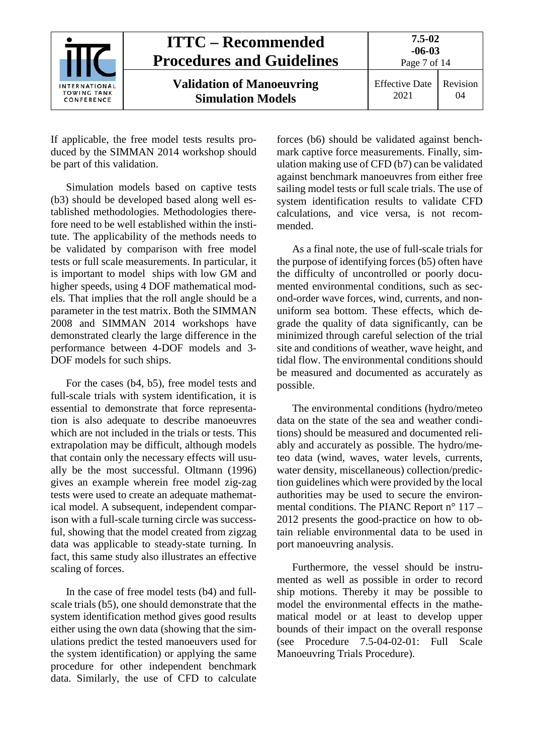

If applicable, the free model tests results produced by the SIMMAN 2014 workshop should be part of this validation.

Simulation models based on captive tests (b3) should be developed based along well established methodologies. Methodologies therefore need to be well established within the institute. The applicability of the methods needs to be validated by comparison with free model tests or full scale measurements. In particular, it is important to model ships with low GM and higher speeds, using 4 DOF mathematical models. That implies that the roll angle should be a parameter in the test matrix. Both the SIMMAN 2008 and SIMMAN 2014 workshops have demonstrated clearly the large difference in the performance between 4-DOF models and 3- DOF models for such ships.

For the cases (b4, b5), free model tests and full-scale trials with system identification, it is essential to demonstrate that force representation is also adequate to describe manoeuvres which are not included in the trials or tests. This extrapolation may be difficult, although models that contain only the necessary effects will usually be the most successful. Oltmann (1996) gives an example wherein free model zig-zag tests were used to create an adequate mathematical model. A subsequent, independent comparison with a full-scale turning circle was successful, showing that the model created from zigzag data was applicable to steady-state turning. In fact, this same study also illustrates an effective scaling of forces.

In the case of free model tests (b4) and fullscale trials (b5), one should demonstrate that the system identification method gives good results either using the own data (showing that the simulations predict the tested manoeuvers used for the system identification) or applying the same procedure for other independent benchmark data. Similarly, the use of CFD to calculate

forces (b6) should be validated against benchmark captive force measurements. Finally, simulation making use of CFD (b7) can be validated against benchmark manoeuvres from either free sailing model tests or full scale trials. The use of system identification results to validate CFD calculations, and vice versa, is not recommended.

As a final note, the use of full-scale trials for the purpose of identifying forces (b5) often have the difficulty of uncontrolled or poorly documented environmental conditions, such as second-order wave forces, wind, currents, and nonuniform sea bottom. These effects, which degrade the quality of data significantly, can be minimized through careful selection of the trial site and conditions of weather, wave height, and tidal flow. The environmental conditions should be measured and documented as accurately as possible.

The environmental conditions (hydro/meteo data on the state of the sea and weather conditions) should be measured and documented reliably and accurately as possible. The hydro/meteo data (wind, waves, water levels, currents, water density, miscellaneous) collection/prediction guidelines which were provided by the local authorities may be used to secure the environmental conditions. The PIANC Report n° 117 – 2012 presents the good-practice on how to obtain reliable environmental data to be used in port manoeuvring analysis.

Furthermore, the vessel should be instrumented as well as possible in order to record ship motions. Thereby it may be possible to model the environmental effects in the mathematical model or at least to develop upper bounds of their impact on the overall response (see Procedure 7.5-04-02-01: Full Scale Manoeuvring Trials Procedure).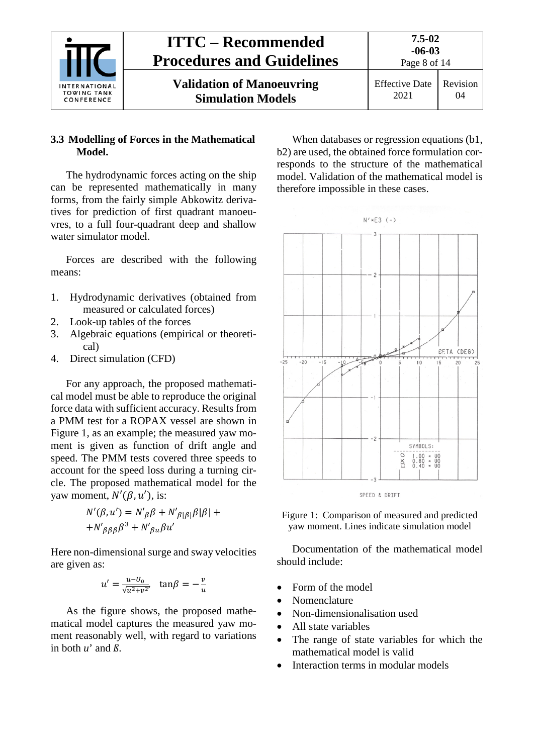

#### <span id="page-7-0"></span>**3.3 Modelling of Forces in the Mathematical Model.**

The hydrodynamic forces acting on the ship can be represented mathematically in many forms, from the fairly simple Abkowitz derivatives for prediction of first quadrant manoeuvres, to a full four-quadrant deep and shallow water simulator model.

Forces are described with the following means:

- 1. Hydrodynamic derivatives (obtained from measured or calculated forces)
- 2. Look-up tables of the forces
- 3. Algebraic equations (empirical or theoretical)
- 4. Direct simulation (CFD)

For any approach, the proposed mathematical model must be able to reproduce the original force data with sufficient accuracy. Results from a PMM test for a ROPAX vessel are shown in Figure 1, as an example; the measured yaw moment is given as function of drift angle and speed. The PMM tests covered three speeds to account for the speed loss during a turning circle. The proposed mathematical model for the vaw moment,  $N'(\beta, u')$ , is:

$$
N'(\beta, u') = N'_{\beta}\beta + N'_{\beta|\beta|}\beta|\beta| +
$$
  
+
$$
N'_{\beta\beta\beta}\beta^3 + N'_{\beta u}\beta u'
$$

Here non-dimensional surge and sway velocities are given as:

$$
u' = \frac{u - U_0}{\sqrt{u^2 + v^2}}, \quad \tan\beta = -\frac{v}{u}
$$

As the figure shows, the proposed mathematical model captures the measured yaw moment reasonably well, with regard to variations in both  $u'$  and  $\beta$ .

When databases or regression equations (b1, b2) are used, the obtained force formulation corresponds to the structure of the mathematical model. Validation of the mathematical model is therefore impossible in these cases.



Figure 1: Comparison of measured and predicted yaw moment. Lines indicate simulation model

Documentation of the mathematical model should include:

- Form of the model
- Nomenclature
- Non-dimensionalisation used
- All state variables
- The range of state variables for which the mathematical model is valid
- Interaction terms in modular models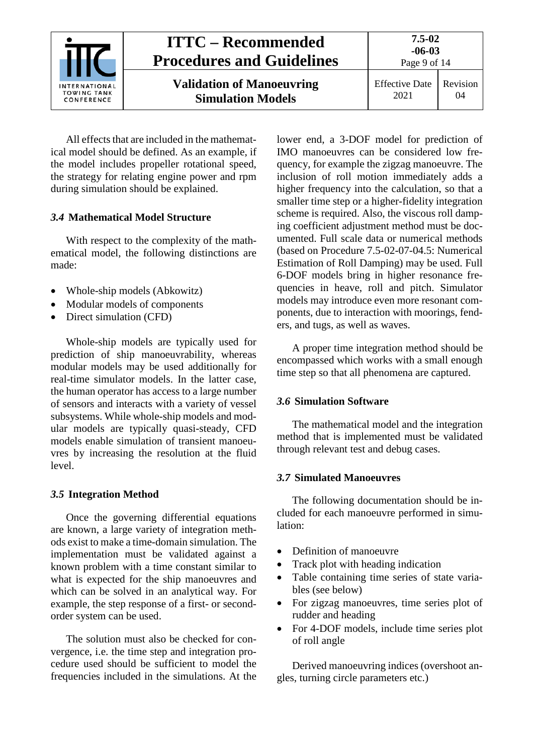| INTERNATIONAL<br><b>TOWING TANK</b><br>CONFERENCE | <b>ITTC – Recommended</b><br><b>Procedures and Guidelines</b> | $7.5 - 02$<br>$-06-03$<br>Page 9 of 14 |                |
|---------------------------------------------------|---------------------------------------------------------------|----------------------------------------|----------------|
|                                                   | <b>Validation of Manoeuvring</b><br><b>Simulation Models</b>  | <b>Effective Date</b><br>2021          | Revision<br>04 |

All effects that are included in the mathematical model should be defined. As an example, if the model includes propeller rotational speed, the strategy for relating engine power and rpm during simulation should be explained.

#### <span id="page-8-0"></span>*3.4* **Mathematical Model Structure**

With respect to the complexity of the mathematical model, the following distinctions are made:

- Whole-ship models (Abkowitz)
- Modular models of components
- Direct simulation (CFD)

Whole-ship models are typically used for prediction of ship manoeuvrability, whereas modular models may be used additionally for real-time simulator models. In the latter case, the human operator has access to a large number of sensors and interacts with a variety of vessel subsystems. While whole-ship models and modular models are typically quasi-steady, CFD models enable simulation of transient manoeuvres by increasing the resolution at the fluid level.

#### <span id="page-8-1"></span>*3.5* **Integration Method**

Once the governing differential equations are known, a large variety of integration methods exist to make a time-domain simulation. The implementation must be validated against a known problem with a time constant similar to what is expected for the ship manoeuvres and which can be solved in an analytical way. For example, the step response of a first- or secondorder system can be used.

The solution must also be checked for convergence, i.e. the time step and integration procedure used should be sufficient to model the frequencies included in the simulations. At the

lower end, a 3-DOF model for prediction of IMO manoeuvres can be considered low frequency, for example the zigzag manoeuvre. The inclusion of roll motion immediately adds a higher frequency into the calculation, so that a smaller time step or a higher-fidelity integration scheme is required. Also, the viscous roll damping coefficient adjustment method must be documented. Full scale data or numerical methods (based on Procedure 7.5-02-07-04.5: Numerical Estimation of Roll Damping) may be used. Full 6-DOF models bring in higher resonance frequencies in heave, roll and pitch. Simulator models may introduce even more resonant components, due to interaction with moorings, fenders, and tugs, as well as waves.

A proper time integration method should be encompassed which works with a small enough time step so that all phenomena are captured.

#### <span id="page-8-2"></span>*3.6* **Simulation Software**

The mathematical model and the integration method that is implemented must be validated through relevant test and debug cases.

#### <span id="page-8-3"></span>*3.7* **Simulated Manoeuvres**

The following documentation should be included for each manoeuvre performed in simulation:

- Definition of manoeuvre
- Track plot with heading indication
- Table containing time series of state variables (see below)
- For zigzag manoeuvres, time series plot of rudder and heading
- For 4-DOF models, include time series plot of roll angle

Derived manoeuvring indices (overshoot angles, turning circle parameters etc.)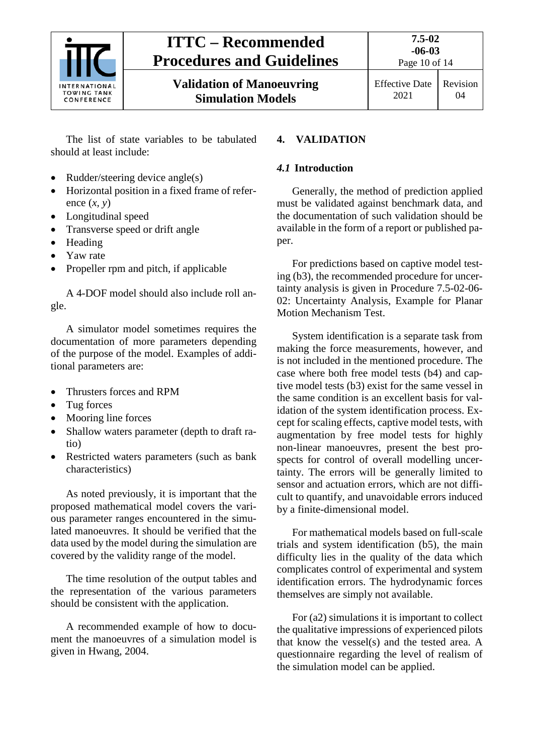

**Validation of Manoeuvring Simulation Models**

Revision 04

The list of state variables to be tabulated should at least include:

- Rudder/steering device angle(s)
- Horizontal position in a fixed frame of reference  $(x, y)$
- Longitudinal speed
- Transverse speed or drift angle
- Heading
- Yaw rate
- Propeller rpm and pitch, if applicable

A 4-DOF model should also include roll angle.

A simulator model sometimes requires the documentation of more parameters depending of the purpose of the model. Examples of additional parameters are:

- Thrusters forces and RPM
- Tug forces
- Mooring line forces
- Shallow waters parameter (depth to draft ratio)
- Restricted waters parameters (such as bank characteristics)

As noted previously, it is important that the proposed mathematical model covers the various parameter ranges encountered in the simulated manoeuvres. It should be verified that the data used by the model during the simulation are covered by the validity range of the model.

The time resolution of the output tables and the representation of the various parameters should be consistent with the application.

A recommended example of how to document the manoeuvres of a simulation model is given in Hwang, 2004.

#### <span id="page-9-1"></span><span id="page-9-0"></span>**4. VALIDATION**

#### *4.1* **Introduction**

Generally, the method of prediction applied must be validated against benchmark data, and the documentation of such validation should be available in the form of a report or published paper.

For predictions based on captive model testing (b3), the recommended procedure for uncertainty analysis is given in Procedure 7.5-02-06- 02: Uncertainty Analysis, Example for Planar Motion Mechanism Test.

System identification is a separate task from making the force measurements, however, and is not included in the mentioned procedure. The case where both free model tests (b4) and captive model tests (b3) exist for the same vessel in the same condition is an excellent basis for validation of the system identification process. Except for scaling effects, captive model tests, with augmentation by free model tests for highly non-linear manoeuvres, present the best prospects for control of overall modelling uncertainty. The errors will be generally limited to sensor and actuation errors, which are not difficult to quantify, and unavoidable errors induced by a finite-dimensional model.

For mathematical models based on full-scale trials and system identification (b5), the main difficulty lies in the quality of the data which complicates control of experimental and system identification errors. The hydrodynamic forces themselves are simply not available.

For (a2) simulations it is important to collect the qualitative impressions of experienced pilots that know the vessel(s) and the tested area. A questionnaire regarding the level of realism of the simulation model can be applied.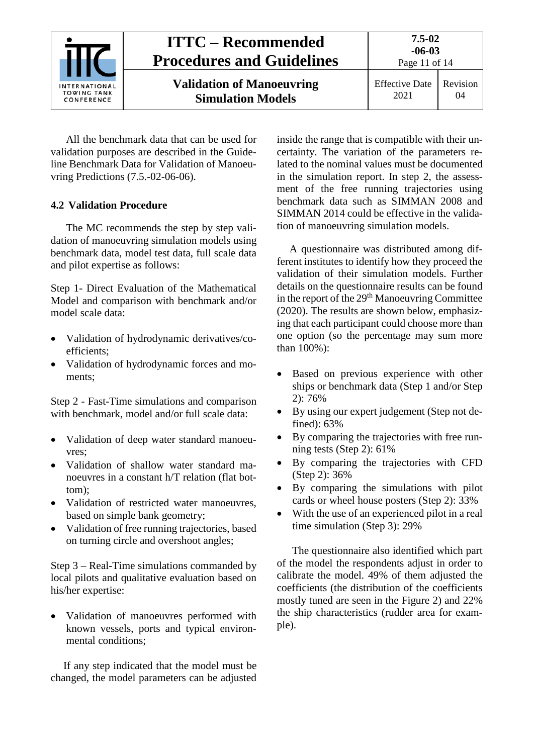| <b>NTERNATIONAL</b><br><b>TOWING TANK</b><br>CONFERENCE | <b>ITTC – Recommended</b><br><b>Procedures and Guidelines</b> | 7.5-02<br>$-06-03$<br>Page 11 of 14 |                |
|---------------------------------------------------------|---------------------------------------------------------------|-------------------------------------|----------------|
|                                                         | <b>Validation of Manoeuvring</b><br><b>Simulation Models</b>  | <b>Effective Date</b><br>2021       | Revision<br>04 |

All the benchmark data that can be used for validation purposes are described in the Guideline Benchmark Data for Validation of Manoeuvring Predictions (7.5.-02-06-06).

#### <span id="page-10-0"></span>**4.2 Validation Procedure**

The MC recommends the step by step validation of manoeuvring simulation models using benchmark data, model test data, full scale data and pilot expertise as follows:

Step 1- Direct Evaluation of the Mathematical Model and comparison with benchmark and/or model scale data:

- Validation of hydrodynamic derivatives/coefficients;
- Validation of hydrodynamic forces and moments;

Step 2 - Fast-Time simulations and comparison with benchmark, model and/or full scale data:

- Validation of deep water standard manoeuvres;
- Validation of shallow water standard manoeuvres in a constant h/T relation (flat bottom);
- Validation of restricted water manoeuvres, based on simple bank geometry;
- Validation of free running trajectories, based on turning circle and overshoot angles;

Step 3 – Real-Time simulations commanded by local pilots and qualitative evaluation based on his/her expertise:

• Validation of manoeuvres performed with known vessels, ports and typical environmental conditions;

If any step indicated that the model must be changed, the model parameters can be adjusted inside the range that is compatible with their uncertainty. The variation of the parameters related to the nominal values must be documented in the simulation report. In step 2, the assessment of the free running trajectories using benchmark data such as SIMMAN 2008 and SIMMAN 2014 could be effective in the validation of manoeuvring simulation models.

A questionnaire was distributed among different institutes to identify how they proceed the validation of their simulation models. Further details on the questionnaire results can be found in the report of the 29<sup>th</sup> Manoeuvring Committee (2020). The results are shown below, emphasizing that each participant could choose more than one option (so the percentage may sum more than 100%):

- Based on previous experience with other ships or benchmark data (Step 1 and/or Step 2): 76%
- By using our expert judgement (Step not defined): 63%
- By comparing the trajectories with free running tests (Step 2): 61%
- By comparing the trajectories with CFD (Step 2): 36%
- By comparing the simulations with pilot cards or wheel house posters (Step 2): 33%
- With the use of an experienced pilot in a real time simulation (Step 3): 29%

The questionnaire also identified which part of the model the respondents adjust in order to calibrate the model. 49% of them adjusted the coefficients (the distribution of the coefficients mostly tuned are seen in the Figure 2) and 22% the ship characteristics (rudder area for example).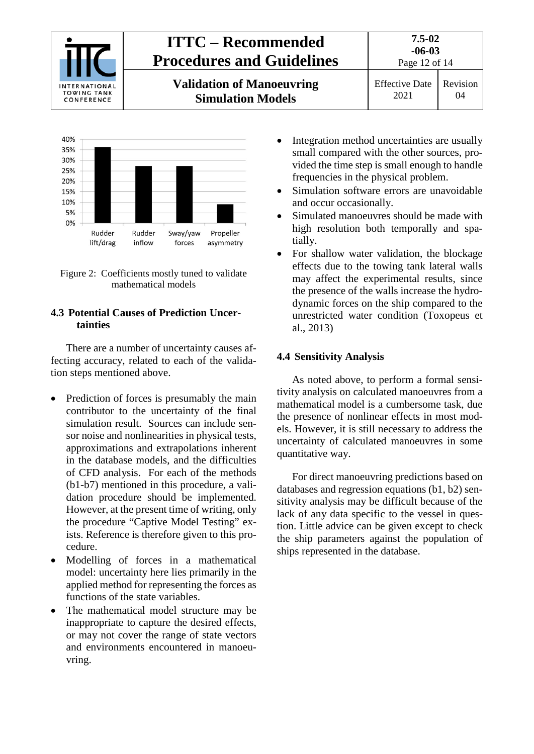



Figure 2: Coefficients mostly tuned to validate mathematical models

#### <span id="page-11-0"></span>**4.3 Potential Causes of Prediction Uncertainties**

There are a number of uncertainty causes affecting accuracy, related to each of the validation steps mentioned above.

- Prediction of forces is presumably the main contributor to the uncertainty of the final simulation result. Sources can include sensor noise and nonlinearities in physical tests, approximations and extrapolations inherent in the database models, and the difficulties of CFD analysis. For each of the methods (b1-b7) mentioned in this procedure, a validation procedure should be implemented. However, at the present time of writing, only the procedure "Captive Model Testing" exists. Reference is therefore given to this procedure.
- Modelling of forces in a mathematical model: uncertainty here lies primarily in the applied method for representing the forces as functions of the state variables.
- The mathematical model structure may be inappropriate to capture the desired effects, or may not cover the range of state vectors and environments encountered in manoeuvring.
- Integration method uncertainties are usually small compared with the other sources, provided the time step is small enough to handle frequencies in the physical problem.
- Simulation software errors are unavoidable and occur occasionally.
- Simulated manoeuvres should be made with high resolution both temporally and spatially.
- For shallow water validation, the blockage effects due to the towing tank lateral walls may affect the experimental results, since the presence of the walls increase the hydrodynamic forces on the ship compared to the unrestricted water condition (Toxopeus et al., 2013)

#### <span id="page-11-1"></span>**4.4 Sensitivity Analysis**

As noted above, to perform a formal sensitivity analysis on calculated manoeuvres from a mathematical model is a cumbersome task, due the presence of nonlinear effects in most models. However, it is still necessary to address the uncertainty of calculated manoeuvres in some quantitative way.

For direct manoeuvring predictions based on databases and regression equations (b1, b2) sensitivity analysis may be difficult because of the lack of any data specific to the vessel in question. Little advice can be given except to check the ship parameters against the population of ships represented in the database.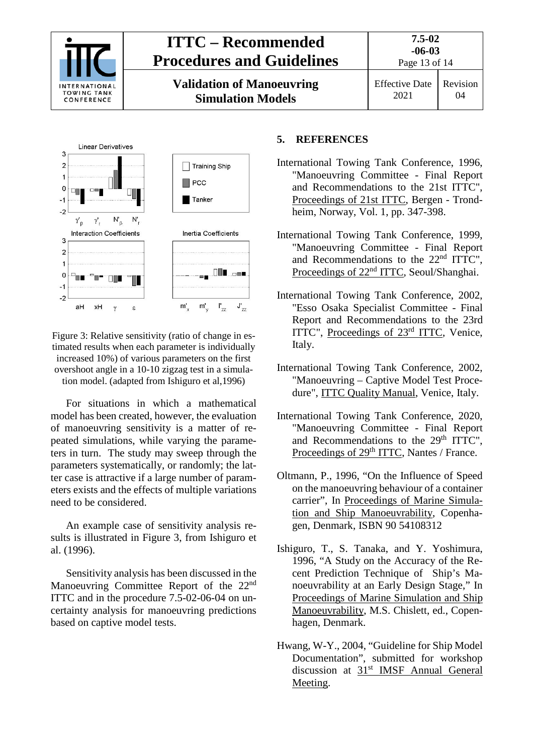



#### Figure 3: Relative sensitivity (ratio of change in estimated results when each parameter is individually increased 10%) of various parameters on the first overshoot angle in a 10-10 zigzag test in a simulation model. (adapted from Ishiguro et al,1996)

For situations in which a mathematical model has been created, however, the evaluation of manoeuvring sensitivity is a matter of repeated simulations, while varying the parameters in turn. The study may sweep through the parameters systematically, or randomly; the latter case is attractive if a large number of parameters exists and the effects of multiple variations need to be considered.

An example case of sensitivity analysis results is illustrated in Figure 3, from Ishiguro et al. (1996).

Sensitivity analysis has been discussed in the Manoeuvring Committee Report of the 22<sup>nd</sup> ITTC and in the procedure 7.5-02-06-04 on uncertainty analysis for manoeuvring predictions based on captive model tests.

#### <span id="page-12-0"></span>**5. REFERENCES**

- International Towing Tank Conference, 1996, "Manoeuvring Committee - Final Report and Recommendations to the 21st ITTC", Proceedings of 21st ITTC, Bergen - Trondheim, Norway, Vol. 1, pp. 347-398.
- International Towing Tank Conference, 1999, "Manoeuvring Committee - Final Report and Recommendations to the 22nd ITTC", Proceedings of 22<sup>nd</sup> ITTC, Seoul/Shanghai.
- International Towing Tank Conference, 2002, "Esso Osaka Specialist Committee - Final Report and Recommendations to the 23rd ITTC", Proceedings of 23rd ITTC, Venice, Italy.
- International Towing Tank Conference, 2002, "Manoeuvring – Captive Model Test Procedure", ITTC Quality Manual, Venice, Italy.
- International Towing Tank Conference, 2020, "Manoeuvring Committee - Final Report and Recommendations to the 29<sup>th</sup> ITTC", Proceedings of 29<sup>th</sup> ITTC, Nantes / France.
- Oltmann, P., 1996, "On the Influence of Speed on the manoeuvring behaviour of a container carrier", In Proceedings of Marine Simulation and Ship Manoeuvrability, Copenhagen, Denmark, ISBN 90 54108312
- Ishiguro, T., S. Tanaka, and Y. Yoshimura, 1996, "A Study on the Accuracy of the Recent Prediction Technique of Ship's Manoeuvrability at an Early Design Stage," In Proceedings of Marine Simulation and Ship Manoeuvrability, M.S. Chislett, ed., Copenhagen, Denmark.
- Hwang, W-Y., 2004, "Guideline for Ship Model Documentation", submitted for workshop discussion at 31<sup>st</sup> IMSF Annual General Meeting.